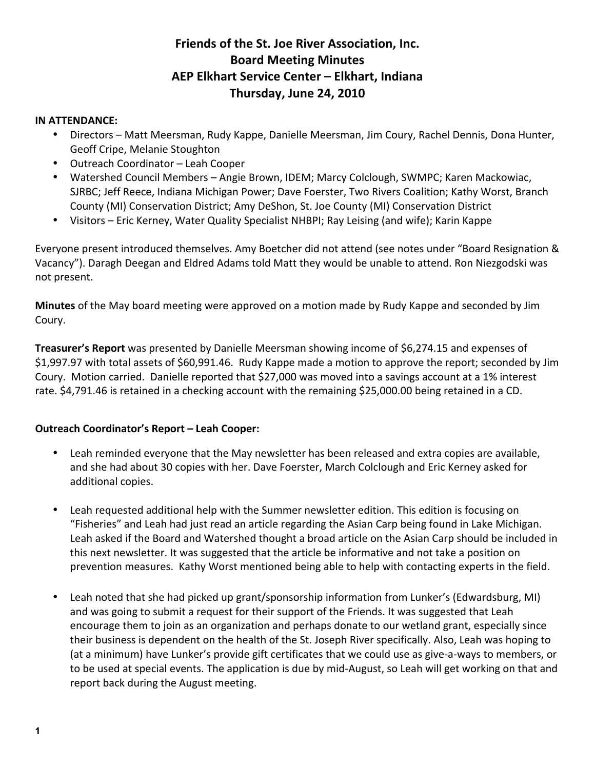# **Friends of the St. Joe River Association, Inc. Board Meeting Minutes AEP Elkhart Service Center – Elkhart, Indiana Thursday, June 24, 2010**

### **IN ATTENDANCE:**

- Directors Matt Meersman, Rudy Kappe, Danielle Meersman, Jim Coury, Rachel Dennis, Dona Hunter, Geoff Cripe, Melanie Stoughton
- Outreach Coordinator Leah Cooper
- Watershed Council Members Angie Brown, IDEM; Marcy Colclough, SWMPC; Karen Mackowiac, SJRBC; Jeff Reece, Indiana Michigan Power; Dave Foerster, Two Rivers Coalition; Kathy Worst, Branch County (MI) Conservation District; Amy DeShon, St. Joe County (MI) Conservation District
- Visitors Eric Kerney, Water Quality Specialist NHBPI; Ray Leising (and wife); Karin Kappe

Everyone present introduced themselves. Amy Boetcher did not attend (see notes under "Board Resignation & Vacancy"). Daragh Deegan and Eldred Adams told Matt they would be unable to attend. Ron Niezgodski was not present.

**Minutes** of the May board meeting were approved on a motion made by Rudy Kappe and seconded by Jim Coury.

**Treasurer's Report** was presented by Danielle Meersman showing income of \$6,274.15 and expenses of \$1,997.97 with total assets of \$60,991.46. Rudy Kappe made a motion to approve the report; seconded by Jim Coury. Motion carried. Danielle reported that \$27,000 was moved into a savings account at a 1% interest rate. \$4,791.46 is retained in a checking account with the remaining \$25,000.00 being retained in a CD.

## **Outreach Coordinator's Report – Leah Cooper:**

- Leah reminded everyone that the May newsletter has been released and extra copies are available, and she had about 30 copies with her. Dave Foerster, March Colclough and Eric Kerney asked for additional copies.
- Leah requested additional help with the Summer newsletter edition. This edition is focusing on "Fisheries" and Leah had just read an article regarding the Asian Carp being found in Lake Michigan. Leah asked if the Board and Watershed thought a broad article on the Asian Carp should be included in this next newsletter. It was suggested that the article be informative and not take a position on prevention measures. Kathy Worst mentioned being able to help with contacting experts in the field.
- Leah noted that she had picked up grant/sponsorship information from Lunker's (Edwardsburg, MI) and was going to submit a request for their support of the Friends. It was suggested that Leah encourage them to join as an organization and perhaps donate to our wetland grant, especially since their business is dependent on the health of the St. Joseph River specifically. Also, Leah was hoping to (at a minimum) have Lunker's provide gift certificates that we could use as give‐a‐ways to members, or to be used at special events. The application is due by mid‐August, so Leah will get working on that and report back during the August meeting.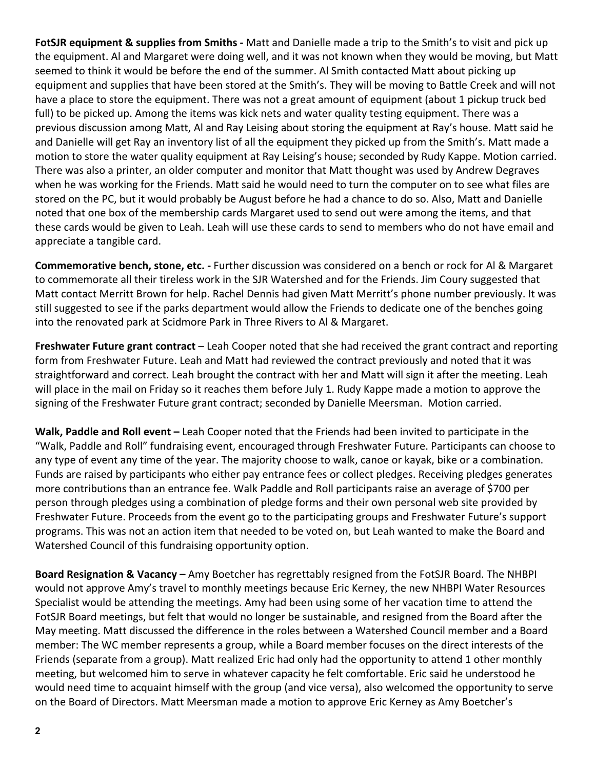**FotSJR equipment & supplies from Smiths ‐** Matt and Danielle made a trip to the Smith's to visit and pick up the equipment. Al and Margaret were doing well, and it was not known when they would be moving, but Matt seemed to think it would be before the end of the summer. Al Smith contacted Matt about picking up equipment and supplies that have been stored at the Smith's. They will be moving to Battle Creek and will not have a place to store the equipment. There was not a great amount of equipment (about 1 pickup truck bed full) to be picked up. Among the items was kick nets and water quality testing equipment. There was a previous discussion among Matt, Al and Ray Leising about storing the equipment at Ray's house. Matt said he and Danielle will get Ray an inventory list of all the equipment they picked up from the Smith's. Matt made a motion to store the water quality equipment at Ray Leising's house; seconded by Rudy Kappe. Motion carried. There was also a printer, an older computer and monitor that Matt thought was used by Andrew Degraves when he was working for the Friends. Matt said he would need to turn the computer on to see what files are stored on the PC, but it would probably be August before he had a chance to do so. Also, Matt and Danielle noted that one box of the membership cards Margaret used to send out were among the items, and that these cards would be given to Leah. Leah will use these cards to send to members who do not have email and appreciate a tangible card.

**Commemorative bench, stone, etc. ‐** Further discussion was considered on a bench or rock for Al & Margaret to commemorate all their tireless work in the SJR Watershed and for the Friends. Jim Coury suggested that Matt contact Merritt Brown for help. Rachel Dennis had given Matt Merritt's phone number previously. It was still suggested to see if the parks department would allow the Friends to dedicate one of the benches going into the renovated park at Scidmore Park in Three Rivers to Al & Margaret.

**Freshwater Future grant contract** – Leah Cooper noted that she had received the grant contract and reporting form from Freshwater Future. Leah and Matt had reviewed the contract previously and noted that it was straightforward and correct. Leah brought the contract with her and Matt will sign it after the meeting. Leah will place in the mail on Friday so it reaches them before July 1. Rudy Kappe made a motion to approve the signing of the Freshwater Future grant contract; seconded by Danielle Meersman. Motion carried.

**Walk, Paddle and Roll event –** Leah Cooper noted that the Friends had been invited to participate in the "Walk, Paddle and Roll" fundraising event, encouraged through Freshwater Future. Participants can choose to any type of event any time of the year. The majority choose to walk, canoe or kayak, bike or a combination. Funds are raised by participants who either pay entrance fees or collect pledges. Receiving pledges generates more contributions than an entrance fee. Walk Paddle and Roll participants raise an average of \$700 per person through pledges using a combination of pledge forms and their own personal web site provided by Freshwater Future. Proceeds from the event go to the participating groups and Freshwater Future's support programs. This was not an action item that needed to be voted on, but Leah wanted to make the Board and Watershed Council of this fundraising opportunity option.

**Board Resignation & Vacancy –** Amy Boetcher has regrettably resigned from the FotSJR Board. The NHBPI would not approve Amy's travel to monthly meetings because Eric Kerney, the new NHBPI Water Resources Specialist would be attending the meetings. Amy had been using some of her vacation time to attend the FotSJR Board meetings, but felt that would no longer be sustainable, and resigned from the Board after the May meeting. Matt discussed the difference in the roles between a Watershed Council member and a Board member: The WC member represents a group, while a Board member focuses on the direct interests of the Friends (separate from a group). Matt realized Eric had only had the opportunity to attend 1 other monthly meeting, but welcomed him to serve in whatever capacity he felt comfortable. Eric said he understood he would need time to acquaint himself with the group (and vice versa), also welcomed the opportunity to serve on the Board of Directors. Matt Meersman made a motion to approve Eric Kerney as Amy Boetcher's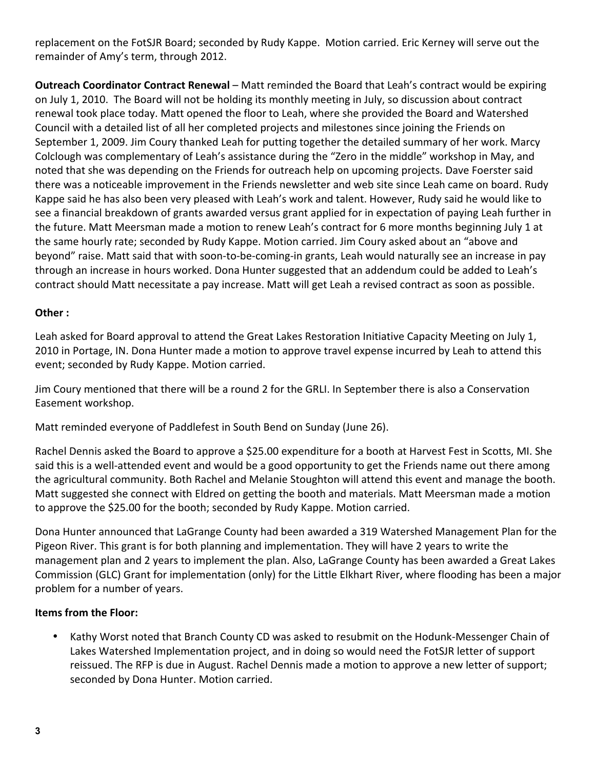replacement on the FotSJR Board; seconded by Rudy Kappe. Motion carried. Eric Kerney will serve out the remainder of Amy's term, through 2012.

**Outreach Coordinator Contract Renewal** – Matt reminded the Board that Leah's contract would be expiring on July 1, 2010. The Board will not be holding its monthly meeting in July, so discussion about contract renewal took place today. Matt opened the floor to Leah, where she provided the Board and Watershed Council with a detailed list of all her completed projects and milestones since joining the Friends on September 1, 2009. Jim Coury thanked Leah for putting together the detailed summary of her work. Marcy Colclough was complementary of Leah's assistance during the "Zero in the middle" workshop in May, and noted that she was depending on the Friends for outreach help on upcoming projects. Dave Foerster said there was a noticeable improvement in the Friends newsletter and web site since Leah came on board. Rudy Kappe said he has also been very pleased with Leah's work and talent. However, Rudy said he would like to see a financial breakdown of grants awarded versus grant applied for in expectation of paying Leah further in the future. Matt Meersman made a motion to renew Leah's contract for 6 more months beginning July 1 at the same hourly rate; seconded by Rudy Kappe. Motion carried. Jim Coury asked about an "above and beyond" raise. Matt said that with soon-to-be-coming-in grants, Leah would naturally see an increase in pay through an increase in hours worked. Dona Hunter suggested that an addendum could be added to Leah's contract should Matt necessitate a pay increase. Matt will get Leah a revised contract as soon as possible.

## **Other :**

Leah asked for Board approval to attend the Great Lakes Restoration Initiative Capacity Meeting on July 1, 2010 in Portage, IN. Dona Hunter made a motion to approve travel expense incurred by Leah to attend this event; seconded by Rudy Kappe. Motion carried.

Jim Coury mentioned that there will be a round 2 for the GRLI. In September there is also a Conservation Easement workshop.

Matt reminded everyone of Paddlefest in South Bend on Sunday (June 26).

Rachel Dennis asked the Board to approve a \$25.00 expenditure for a booth at Harvest Fest in Scotts, MI. She said this is a well-attended event and would be a good opportunity to get the Friends name out there among the agricultural community. Both Rachel and Melanie Stoughton will attend this event and manage the booth. Matt suggested she connect with Eldred on getting the booth and materials. Matt Meersman made a motion to approve the \$25.00 for the booth; seconded by Rudy Kappe. Motion carried.

Dona Hunter announced that LaGrange County had been awarded a 319 Watershed Management Plan for the Pigeon River. This grant is for both planning and implementation. They will have 2 years to write the management plan and 2 years to implement the plan. Also, LaGrange County has been awarded a Great Lakes Commission (GLC) Grant for implementation (only) for the Little Elkhart River, where flooding has been a major problem for a number of years.

## **Items from the Floor:**

• Kathy Worst noted that Branch County CD was asked to resubmit on the Hodunk‐Messenger Chain of Lakes Watershed Implementation project, and in doing so would need the FotSJR letter of support reissued. The RFP is due in August. Rachel Dennis made a motion to approve a new letter of support; seconded by Dona Hunter. Motion carried.